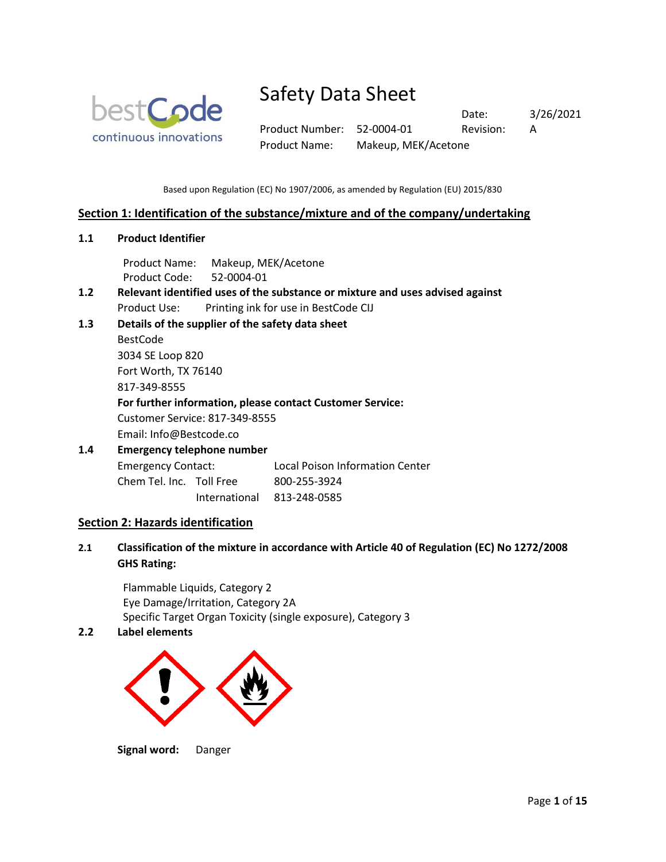

Product Number: 52-0004-01 Revision: A Product Name: Makeup, MEK/Acetone

Date: 3/26/2021

Based upon Regulation (EC) No 1907/2006, as amended by Regulation (EU) 2015/830

## **Section 1: Identification of the substance/mixture and of the company/undertaking**

**1.1 Product Identifier**

Product Name: Makeup, MEK/Acetone Product Code: 52-0004-01

- **1.2 Relevant identified uses of the substance or mixture and uses advised against** Product Use: Printing ink for use in BestCode CIJ
- **1.3 Details of the supplier of the safety data sheet**

BestCode 3034 SE Loop 820 Fort Worth, TX 76140 817-349-8555 **For further information, please contact Customer Service:**

Customer Service: 817-349-8555

Email: Info@Bestcode.co

# **1.4 Emergency telephone number** Emergency Contact: Local Poison Information Center

Chem Tel. Inc. Toll Free 800-255-3924

International 813-248-0585

# **Section 2: Hazards identification**

**2.1 Classification of the mixture in accordance with Article 40 of Regulation (EC) No 1272/2008 GHS Rating:**

Flammable Liquids, Category 2 Eye Damage/Irritation, Category 2A Specific Target Organ Toxicity (single exposure), Category 3

## **2.2 Label elements**



**Signal word:** Danger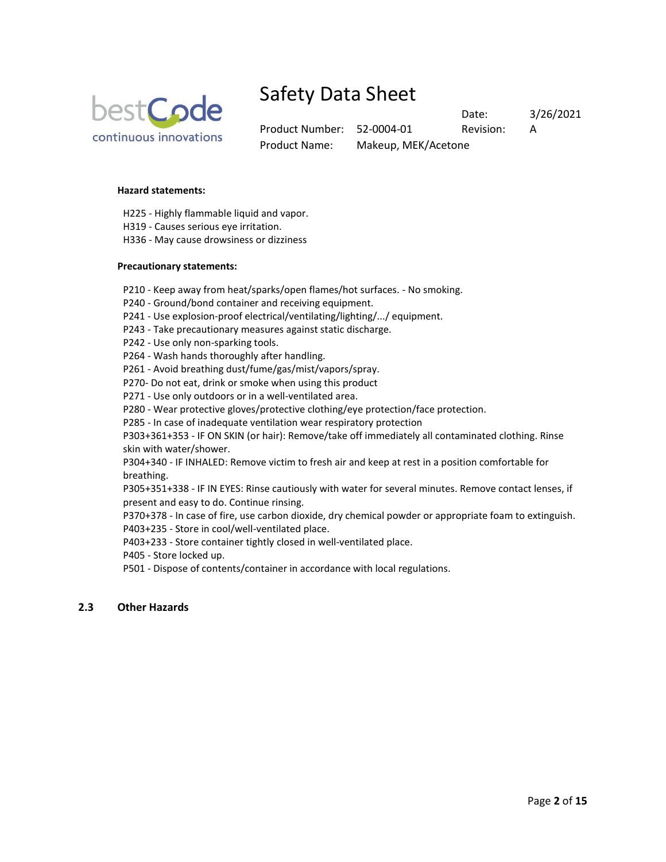

Product Number: 52-0004-01 Revision: A Product Name: Makeup, MEK/Acetone

Date: 3/26/2021

#### **Hazard statements:**

- H225 Highly flammable liquid and vapor.
- H319 Causes serious eye irritation.
- H336 May cause drowsiness or dizziness

#### **Precautionary statements:**

- P210 Keep away from heat/sparks/open flames/hot surfaces. No smoking.
- P240 Ground/bond container and receiving equipment.
- P241 Use explosion-proof electrical/ventilating/lighting/.../ equipment.
- P243 Take precautionary measures against static discharge.
- P242 Use only non-sparking tools.
- P264 Wash hands thoroughly after handling.
- P261 Avoid breathing dust/fume/gas/mist/vapors/spray.
- P270- Do not eat, drink or smoke when using this product
- P271 Use only outdoors or in a well-ventilated area.
- P280 Wear protective gloves/protective clothing/eye protection/face protection.
- P285 In case of inadequate ventilation wear respiratory protection

P303+361+353 - IF ON SKIN (or hair): Remove/take off immediately all contaminated clothing. Rinse skin with water/shower.

P304+340 - IF INHALED: Remove victim to fresh air and keep at rest in a position comfortable for breathing.

P305+351+338 - IF IN EYES: Rinse cautiously with water for several minutes. Remove contact lenses, if present and easy to do. Continue rinsing.

P370+378 - In case of fire, use carbon dioxide, dry chemical powder or appropriate foam to extinguish.

P403+235 - Store in cool/well-ventilated place.

P403+233 - Store container tightly closed in well-ventilated place.

- P405 Store locked up.
- P501 Dispose of contents/container in accordance with local regulations.

### **2.3 Other Hazards**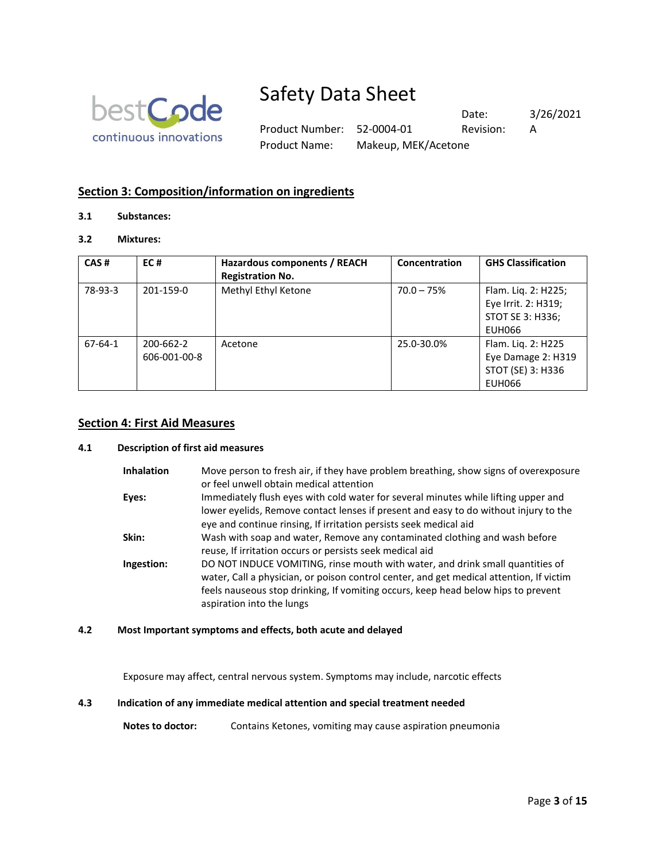

Product Number: 52-0004-01 Revision: A Product Name: Makeup, MEK/Acetone

Date: 3/26/2021

# **Section 3: Composition/information on ingredients**

### **3.1 Substances:**

## **3.2 Mixtures:**

| CAS#    | EC#                       | Hazardous components / REACH<br><b>Registration No.</b> | Concentration | <b>GHS Classification</b>                                                      |
|---------|---------------------------|---------------------------------------------------------|---------------|--------------------------------------------------------------------------------|
| 78-93-3 | 201-159-0                 | Methyl Ethyl Ketone                                     | $70.0 - 75%$  | Flam. Liq. 2: H225;<br>Eye Irrit. 2: H319;<br>STOT SE 3: H336;<br>EUH066       |
| 67-64-1 | 200-662-2<br>606-001-00-8 | Acetone                                                 | 25.0-30.0%    | Flam. Liq. 2: H225<br>Eye Damage 2: H319<br>STOT (SE) 3: H336<br><b>EUH066</b> |

#### **Section 4: First Aid Measures**

#### **4.1 Description of first aid measures**

| <b>Inhalation</b> | Move person to fresh air, if they have problem breathing, show signs of overexposure<br>or feel unwell obtain medical attention                                                                                                                                                            |
|-------------------|--------------------------------------------------------------------------------------------------------------------------------------------------------------------------------------------------------------------------------------------------------------------------------------------|
| Eyes:             | Immediately flush eyes with cold water for several minutes while lifting upper and<br>lower eyelids, Remove contact lenses if present and easy to do without injury to the<br>eye and continue rinsing, If irritation persists seek medical aid                                            |
| Skin:             | Wash with soap and water, Remove any contaminated clothing and wash before<br>reuse, If irritation occurs or persists seek medical aid                                                                                                                                                     |
| Ingestion:        | DO NOT INDUCE VOMITING, rinse mouth with water, and drink small quantities of<br>water, Call a physician, or poison control center, and get medical attention, If victim<br>feels nauseous stop drinking, If vomiting occurs, keep head below hips to prevent<br>aspiration into the lungs |

#### **4.2 Most Important symptoms and effects, both acute and delayed**

Exposure may affect, central nervous system. Symptoms may include, narcotic effects

### **4.3 Indication of any immediate medical attention and special treatment needed**

Notes to doctor: Contains Ketones, vomiting may cause aspiration pneumonia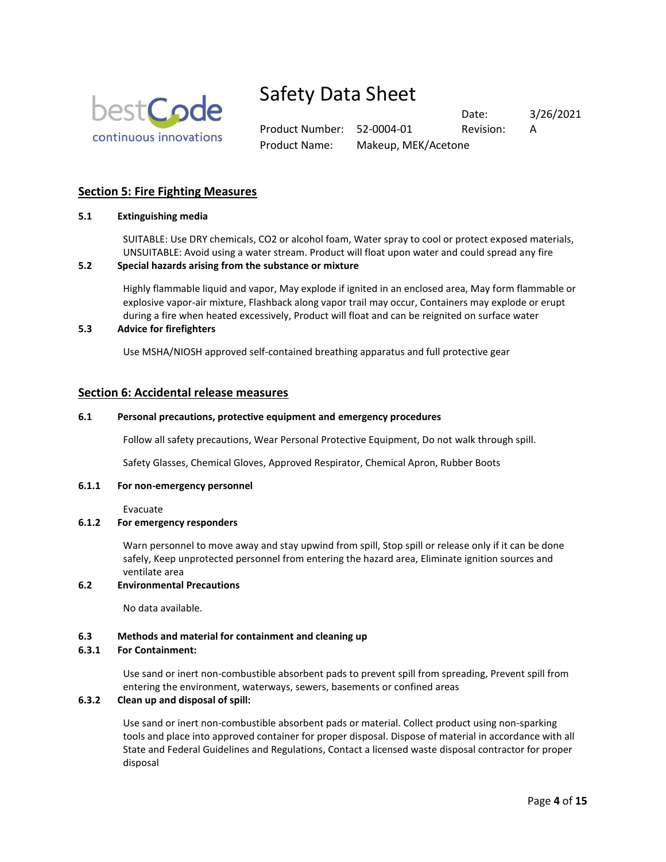

Product Number: 52-0004-01 Revision: A Product Name: Makeup, MEK/Acetone

Date: 3/26/2021

### **Section 5: Fire Fighting Measures**

#### **5.1 Extinguishing media**

SUITABLE: Use DRY chemicals, CO2 or alcohol foam, Water spray to cool or protect exposed materials, UNSUITABLE: Avoid using a water stream. Product will float upon water and could spread any fire

#### **5.2 Special hazards arising from the substance or mixture**

Highly flammable liquid and vapor, May explode if ignited in an enclosed area, May form flammable or explosive vapor-air mixture, Flashback along vapor trail may occur, Containers may explode or erupt during a fire when heated excessively, Product will float and can be reignited on surface water

### **5.3 Advice for firefighters**

Use MSHA/NIOSH approved self-contained breathing apparatus and full protective gear

#### **Section 6: Accidental release measures**

#### **6.1 Personal precautions, protective equipment and emergency procedures**

Follow all safety precautions, Wear Personal Protective Equipment, Do not walk through spill.

Safety Glasses, Chemical Gloves, Approved Respirator, Chemical Apron, Rubber Boots

#### **6.1.1 For non-emergency personnel**

Evacuate

#### **6.1.2 For emergency responders**

Warn personnel to move away and stay upwind from spill, Stop spill or release only if it can be done safely, Keep unprotected personnel from entering the hazard area, Eliminate ignition sources and ventilate area

#### **6.2 Environmental Precautions**

No data available.

#### **6.3 Methods and material for containment and cleaning up**

#### **6.3.1 For Containment:**

Use sand or inert non-combustible absorbent pads to prevent spill from spreading, Prevent spill from entering the environment, waterways, sewers, basements or confined areas

### **6.3.2 Clean up and disposal of spill:**

Use sand or inert non-combustible absorbent pads or material. Collect product using non-sparking tools and place into approved container for proper disposal. Dispose of material in accordance with all State and Federal Guidelines and Regulations, Contact a licensed waste disposal contractor for proper disposal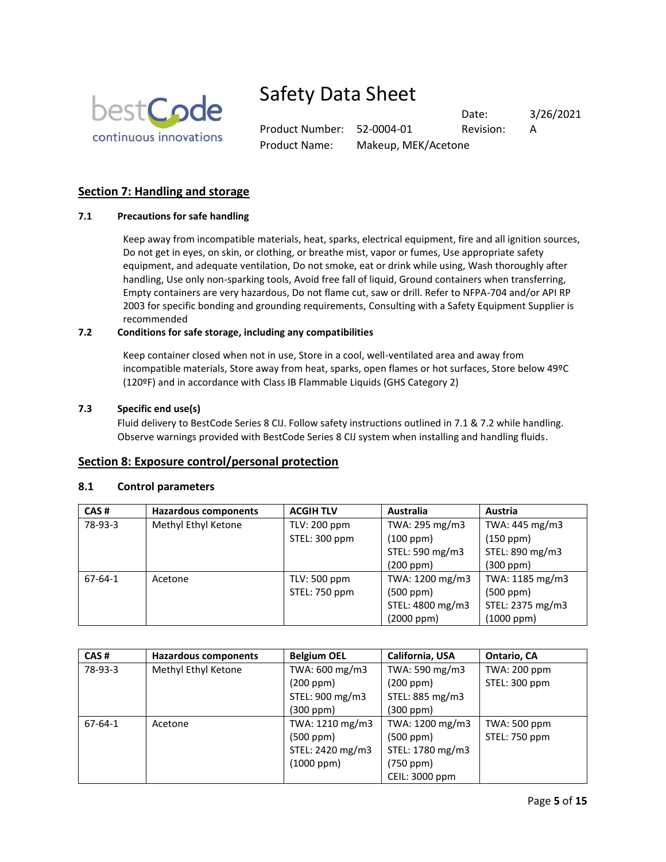

Product Number: 52-0004-01 Revision: A Product Name: Makeup, MEK/Acetone

Date: 3/26/2021

# **Section 7: Handling and storage**

### **7.1 Precautions for safe handling**

Keep away from incompatible materials, heat, sparks, electrical equipment, fire and all ignition sources, Do not get in eyes, on skin, or clothing, or breathe mist, vapor or fumes, Use appropriate safety equipment, and adequate ventilation, Do not smoke, eat or drink while using, Wash thoroughly after handling, Use only non-sparking tools, Avoid free fall of liquid, Ground containers when transferring, Empty containers are very hazardous, Do not flame cut, saw or drill. Refer to NFPA-704 and/or API RP 2003 for specific bonding and grounding requirements, Consulting with a Safety Equipment Supplier is recommended

#### **7.2 Conditions for safe storage, including any compatibilities**

Keep container closed when not in use, Store in a cool, well-ventilated area and away from incompatible materials, Store away from heat, sparks, open flames or hot surfaces, Store below 49ºC (120ºF) and in accordance with Class IB Flammable Liquids (GHS Category 2)

#### **7.3 Specific end use(s)**

Fluid delivery to BestCode Series 8 CIJ. Follow safety instructions outlined in 7.1 & 7.2 while handling. Observe warnings provided with BestCode Series 8 CIJ system when installing and handling fluids.

### **Section 8: Exposure control/personal protection**

#### **8.1 Control parameters**

| CAS#          | <b>Hazardous components</b> | <b>ACGIH TLV</b> | <b>Australia</b> | Austria          |
|---------------|-----------------------------|------------------|------------------|------------------|
| 78-93-3       | Methyl Ethyl Ketone         | TLV: 200 ppm     | TWA: 295 mg/m3   | TWA: 445 mg/m3   |
|               |                             | STEL: 300 ppm    | (100 ppm)        | (150 ppm)        |
|               |                             |                  | STEL: 590 mg/m3  | STEL: 890 mg/m3  |
|               |                             |                  | (200 ppm)        | (300 ppm)        |
| $67 - 64 - 1$ | Acetone                     | TLV: 500 ppm     | TWA: 1200 mg/m3  | TWA: 1185 mg/m3  |
|               |                             | STEL: 750 ppm    | (500 ppm)        | $(500$ ppm $)$   |
|               |                             |                  | STEL: 4800 mg/m3 | STEL: 2375 mg/m3 |
|               |                             |                  | (2000 ppm)       | $(1000$ ppm $)$  |

| CAS#          | Hazardous components | <b>Belgium OEL</b> | California, USA  | Ontario, CA   |
|---------------|----------------------|--------------------|------------------|---------------|
| 78-93-3       | Methyl Ethyl Ketone  | TWA: 600 mg/m3     | TWA: 590 mg/m3   | TWA: 200 ppm  |
|               |                      | (200 ppm)          | (200 ppm)        | STEL: 300 ppm |
|               |                      | STEL: 900 mg/m3    | STEL: 885 mg/m3  |               |
|               |                      | (300 ppm)          | (300 ppm)        |               |
| $67 - 64 - 1$ | Acetone              | TWA: 1210 mg/m3    | TWA: 1200 mg/m3  | TWA: 500 ppm  |
|               |                      | (500 ppm)          | (500 ppm)        | STEL: 750 ppm |
|               |                      | STEL: 2420 mg/m3   | STEL: 1780 mg/m3 |               |
|               |                      | $(1000$ ppm $)$    | (750 ppm)        |               |
|               |                      |                    | CEIL: 3000 ppm   |               |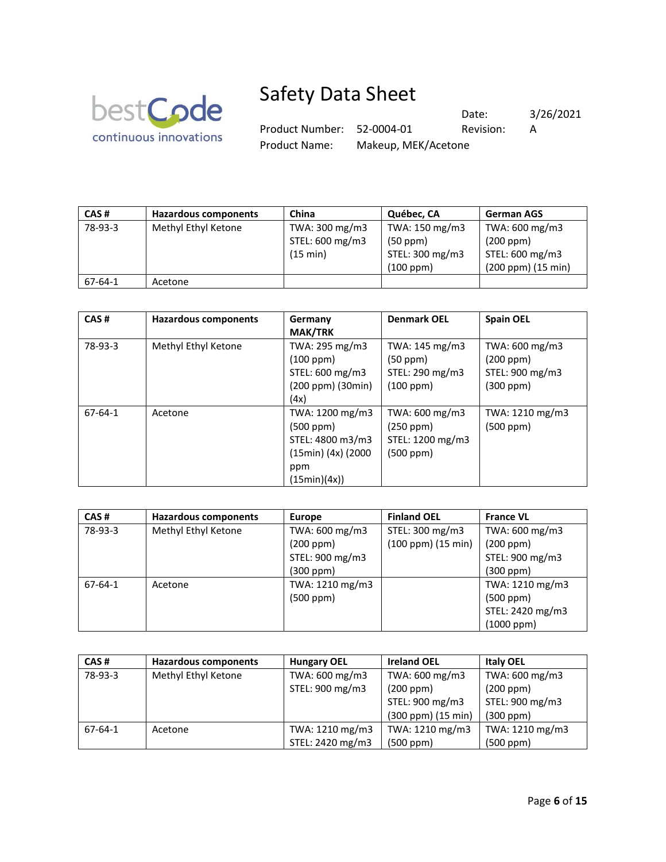

Date: 3/26/2021 Product Number: 52-0004-01 Revision: A Product Name: Makeup, MEK/Acetone

| CAS#          | <b>Hazardous components</b> | China           | Québec, CA      | <b>German AGS</b>  |
|---------------|-----------------------------|-----------------|-----------------|--------------------|
| 78-93-3       | Methyl Ethyl Ketone         | TWA: 300 mg/m3  | TWA: 150 mg/m3  | TWA: 600 mg/m3     |
|               |                             | STEL: 600 mg/m3 | (50 ppm)        | (200 ppm)          |
|               |                             | (15 min)        | STEL: 300 mg/m3 | STEL: 600 mg/m3    |
|               |                             |                 | (100 ppm)       | (200 ppm) (15 min) |
| $67 - 64 - 1$ | Acetone                     |                 |                 |                    |

| CAS#          | Hazardous components | Germany<br><b>MAK/TRK</b>                                                                          | <b>Denmark OEL</b>                                                | <b>Spain OEL</b>                                            |
|---------------|----------------------|----------------------------------------------------------------------------------------------------|-------------------------------------------------------------------|-------------------------------------------------------------|
| 78-93-3       | Methyl Ethyl Ketone  | TWA: 295 mg/m3<br>(100 ppm)<br>STEL: 600 mg/m3<br>(200 ppm) (30min)<br>(4x)                        | TWA: 145 mg/m3<br>(50 ppm)<br>STEL: 290 mg/m3<br>(100 ppm)        | TWA: 600 mg/m3<br>(200 ppm)<br>STEL: 900 mg/m3<br>(300 ppm) |
| $67 - 64 - 1$ | Acetone              | TWA: 1200 mg/m3<br>$(500$ ppm $)$<br>STEL: 4800 m3/m3<br>(15min) (4x) (2000<br>ppm<br>(15min)(4x)) | TWA: 600 mg/m3<br>$(250$ ppm $)$<br>STEL: 1200 mg/m3<br>(500 ppm) | TWA: 1210 mg/m3<br>(500 ppm)                                |

| CAS#          | <b>Hazardous components</b> | <b>Europe</b>   | <b>Finland OEL</b>        | <b>France VL</b> |
|---------------|-----------------------------|-----------------|---------------------------|------------------|
| 78-93-3       | Methyl Ethyl Ketone         | TWA: 600 mg/m3  | STEL: 300 mg/m3           | TWA: 600 mg/m3   |
|               |                             | (200 ppm)       | $(100$ ppm $)(15$ min $)$ | (200 ppm)        |
|               |                             | STEL: 900 mg/m3 |                           | STEL: 900 mg/m3  |
|               |                             | (300 ppm)       |                           | (300 ppm)        |
| $67 - 64 - 1$ | Acetone                     | TWA: 1210 mg/m3 |                           | TWA: 1210 mg/m3  |
|               |                             | (500 ppm)       |                           | (500 ppm)        |
|               |                             |                 |                           | STEL: 2420 mg/m3 |
|               |                             |                 |                           | $(1000$ ppm $)$  |

| CAS#    | <b>Hazardous components</b> | <b>Hungary OEL</b> | <b>Ireland OEL</b> | <b>Italy OEL</b> |
|---------|-----------------------------|--------------------|--------------------|------------------|
| 78-93-3 | Methyl Ethyl Ketone         | TWA: 600 mg/m3     | TWA: 600 mg/m3     | TWA: 600 mg/m3   |
|         |                             | STEL: 900 mg/m3    | (200 ppm)          | (200 ppm)        |
|         |                             |                    | STEL: 900 mg/m3    | STEL: 900 mg/m3  |
|         |                             |                    | (300 ppm) (15 min) | $(300$ ppm $)$   |
| 67-64-1 | Acetone                     | TWA: 1210 mg/m3    | TWA: 1210 mg/m3    | TWA: 1210 mg/m3  |
|         |                             | STEL: 2420 mg/m3   | (500 ppm)          | (500 ppm)        |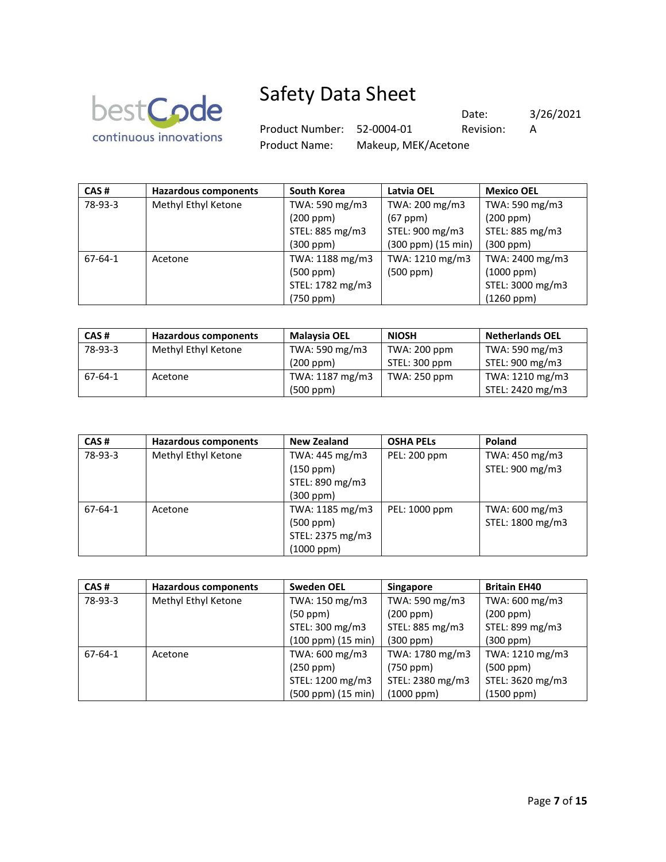

Product Number: 52-0004-01 Revision: A

Product Name: Makeup, MEK/Acetone

Date: 3/26/2021

| CAS#    | <b>Hazardous components</b> | <b>South Korea</b> | Latvia OEL         | <b>Mexico OEL</b> |
|---------|-----------------------------|--------------------|--------------------|-------------------|
| 78-93-3 | Methyl Ethyl Ketone         | TWA: 590 mg/m3     | TWA: 200 mg/m3     | TWA: 590 mg/m3    |
|         |                             | (200 ppm)          | $(67$ ppm $)$      | (200 ppm)         |
|         |                             | STEL: 885 mg/m3    | STEL: 900 mg/m3    | STEL: 885 mg/m3   |
|         |                             | $(300$ ppm $)$     | (300 ppm) (15 min) | (300 ppm)         |
| 67-64-1 | Acetone                     | TWA: 1188 mg/m3    | TWA: 1210 mg/m3    | TWA: 2400 mg/m3   |
|         |                             | (500 ppm)          | (500 ppm)          | (1000 ppm)        |
|         |                             | STEL: 1782 mg/m3   |                    | STEL: 3000 mg/m3  |
|         |                             | (750 ppm)          |                    | (1260 ppm)        |

| CAS#    | <b>Hazardous components</b> | <b>Malaysia OEL</b> | <b>NIOSH</b>  | <b>Netherlands OEL</b> |
|---------|-----------------------------|---------------------|---------------|------------------------|
| 78-93-3 | Methyl Ethyl Ketone         | TWA: 590 mg/m3      | TWA: 200 ppm  | TWA: 590 mg/m3         |
|         |                             | (200 ppm)           | STEL: 300 ppm | STEL: 900 mg/m3        |
| 67-64-1 | Acetone                     | TWA: 1187 mg/m3     | TWA: 250 ppm  | TWA: 1210 mg/m3        |
|         |                             | (500 ppm)           |               | STEL: 2420 mg/m3       |

| CAS#    | <b>Hazardous components</b> | <b>New Zealand</b> | <b>OSHA PELS</b> | Poland           |
|---------|-----------------------------|--------------------|------------------|------------------|
| 78-93-3 | Methyl Ethyl Ketone         | TWA: 445 mg/m3     | PEL: 200 ppm     | TWA: 450 mg/m3   |
|         |                             | (150 ppm)          |                  | STEL: 900 mg/m3  |
|         |                             | STEL: 890 mg/m3    |                  |                  |
|         |                             | (300 ppm)          |                  |                  |
| 67-64-1 | Acetone                     | TWA: 1185 mg/m3    | PEL: 1000 ppm    | TWA: 600 mg/m3   |
|         |                             | (500 ppm)          |                  | STEL: 1800 mg/m3 |
|         |                             | STEL: 2375 mg/m3   |                  |                  |
|         |                             | (1000 ppm)         |                  |                  |

| CAS#    | <b>Hazardous components</b> | <b>Sweden OEL</b>  | <b>Singapore</b> | <b>Britain EH40</b> |
|---------|-----------------------------|--------------------|------------------|---------------------|
| 78-93-3 | Methyl Ethyl Ketone         | TWA: 150 mg/m3     | TWA: 590 mg/m3   | TWA: 600 mg/m3      |
|         |                             | (50 ppm)           | (200 ppm)        | (200 ppm)           |
|         |                             | STEL: 300 mg/m3    | STEL: 885 mg/m3  | STEL: 899 mg/m3     |
|         |                             | (100 ppm) (15 min) | (300 ppm)        | $(300$ ppm $)$      |
| 67-64-1 | Acetone                     | TWA: 600 mg/m3     | TWA: 1780 mg/m3  | TWA: 1210 mg/m3     |
|         |                             | $(250$ ppm $)$     | $(750$ ppm $)$   | $(500$ ppm $)$      |
|         |                             | STEL: 1200 mg/m3   | STEL: 2380 mg/m3 | STEL: 3620 mg/m3    |
|         |                             | (500 ppm) (15 min) | $(1000$ ppm $)$  | $(1500$ ppm $)$     |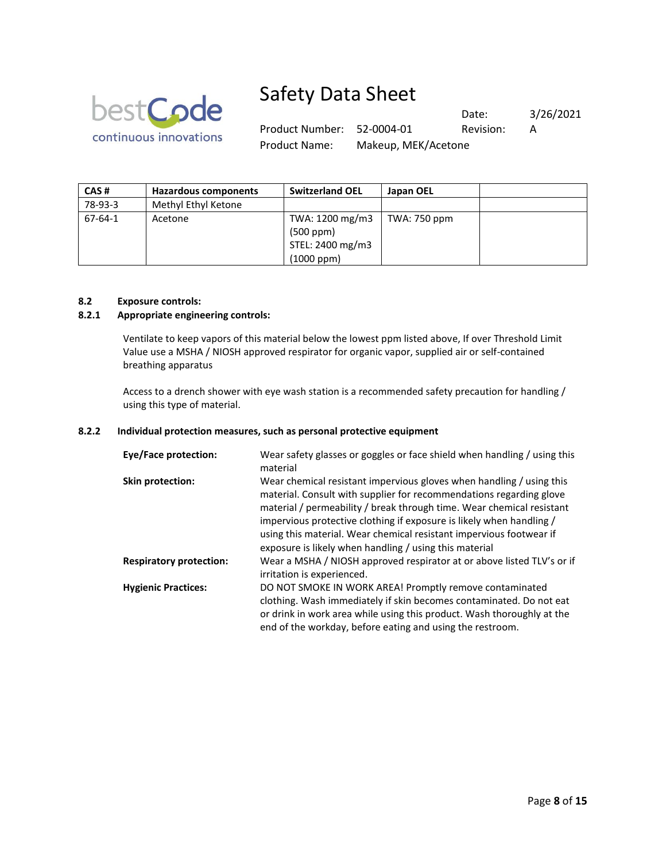

Product Number: 52-0004-01 Revision: A

Date: 3/26/2021

Product Name: Makeup, MEK/Acetone

| CAS#    | Hazardous components | <b>Switzerland OEL</b> | Japan OEL    |
|---------|----------------------|------------------------|--------------|
| 78-93-3 | Methyl Ethyl Ketone  |                        |              |
| 67-64-1 | Acetone              | TWA: 1200 mg/m3        | TWA: 750 ppm |
|         |                      | $(500$ ppm $)$         |              |
|         |                      | STEL: 2400 mg/m3       |              |
|         |                      | $(1000$ ppm $)$        |              |

### **8.2 Exposure controls:**

### **8.2.1 Appropriate engineering controls:**

Ventilate to keep vapors of this material below the lowest ppm listed above, If over Threshold Limit Value use a MSHA / NIOSH approved respirator for organic vapor, supplied air or self-contained breathing apparatus

Access to a drench shower with eye wash station is a recommended safety precaution for handling / using this type of material.

#### **8.2.2 Individual protection measures, such as personal protective equipment**

| <b>Eye/Face protection:</b>    | Wear safety glasses or goggles or face shield when handling / using this<br>material                                                                                                                                                                                                                                                                                                                                          |
|--------------------------------|-------------------------------------------------------------------------------------------------------------------------------------------------------------------------------------------------------------------------------------------------------------------------------------------------------------------------------------------------------------------------------------------------------------------------------|
| <b>Skin protection:</b>        | Wear chemical resistant impervious gloves when handling / using this<br>material. Consult with supplier for recommendations regarding glove<br>material / permeability / break through time. Wear chemical resistant<br>impervious protective clothing if exposure is likely when handling /<br>using this material. Wear chemical resistant impervious footwear if<br>exposure is likely when handling / using this material |
| <b>Respiratory protection:</b> | Wear a MSHA / NIOSH approved respirator at or above listed TLV's or if<br>irritation is experienced.                                                                                                                                                                                                                                                                                                                          |
| <b>Hygienic Practices:</b>     | DO NOT SMOKE IN WORK AREA! Promptly remove contaminated<br>clothing. Wash immediately if skin becomes contaminated. Do not eat<br>or drink in work area while using this product. Wash thoroughly at the<br>end of the workday, before eating and using the restroom.                                                                                                                                                         |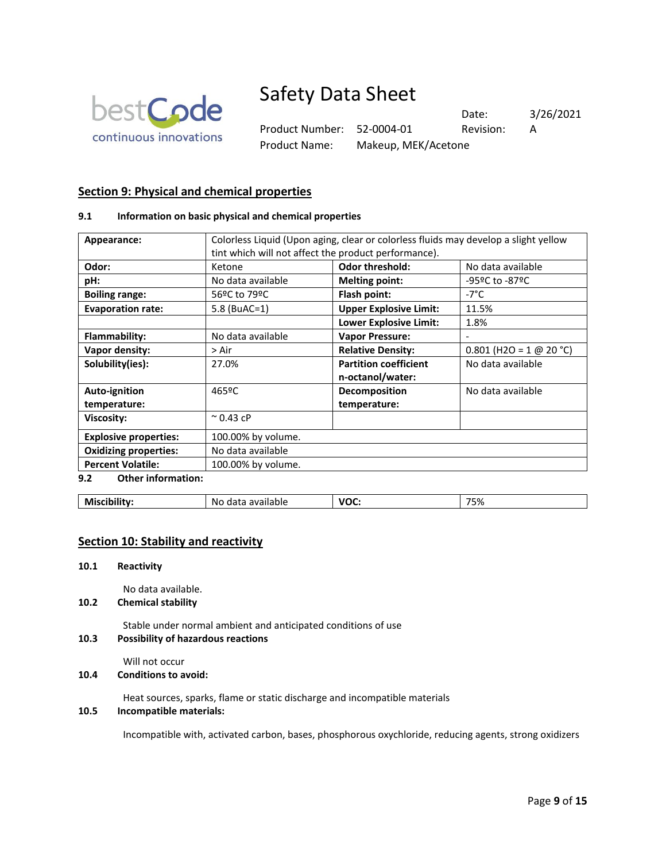

Product Number: 52-0004-01 Revision: A Product Name: Makeup, MEK/Acetone

Date: 3/26/2021

**Section 9: Physical and chemical properties**

### **9.1 Information on basic physical and chemical properties**

| Appearance:                      | Colorless Liquid (Upon aging, clear or colorless fluids may develop a slight yellow |                               |                           |  |  |
|----------------------------------|-------------------------------------------------------------------------------------|-------------------------------|---------------------------|--|--|
|                                  | tint which will not affect the product performance).                                |                               |                           |  |  |
|                                  |                                                                                     |                               |                           |  |  |
| Odor:                            | Ketone                                                                              | <b>Odor threshold:</b>        | No data available         |  |  |
| pH:                              | No data available                                                                   | <b>Melting point:</b>         | -95ºC to -87ºC            |  |  |
| <b>Boiling range:</b>            | 56ºC to 79ºC                                                                        | Flash point:                  | -7°C.                     |  |  |
| <b>Evaporation rate:</b>         | 5.8 (BuAC=1)                                                                        | <b>Upper Explosive Limit:</b> | 11.5%                     |  |  |
|                                  |                                                                                     | <b>Lower Explosive Limit:</b> | 1.8%                      |  |  |
| <b>Flammability:</b>             | No data available                                                                   | <b>Vapor Pressure:</b>        |                           |  |  |
| Vapor density:                   | > Air                                                                               | <b>Relative Density:</b>      | $0.801$ (H2O = 1 @ 20 °C) |  |  |
| Solubility(ies):                 | 27.0%                                                                               | <b>Partition coefficient</b>  | No data available         |  |  |
|                                  |                                                                                     | n-octanol/water:              |                           |  |  |
| Auto-ignition                    | 465ºC                                                                               | Decomposition                 | No data available         |  |  |
| temperature:                     |                                                                                     | temperature:                  |                           |  |  |
| <b>Viscosity:</b>                | $^{\sim}$ 0.43 cP                                                                   |                               |                           |  |  |
| <b>Explosive properties:</b>     | 100.00% by volume.                                                                  |                               |                           |  |  |
| <b>Oxidizing properties:</b>     | No data available                                                                   |                               |                           |  |  |
| <b>Percent Volatile:</b>         | 100.00% by volume.                                                                  |                               |                           |  |  |
| 9.2<br><b>Other information:</b> |                                                                                     |                               |                           |  |  |

| Miscibility: | available<br>NΟ<br>udld<br>. | VOC.<br>$  -$ | 75%<br>____ |
|--------------|------------------------------|---------------|-------------|
|--------------|------------------------------|---------------|-------------|

## **Section 10: Stability and reactivity**

#### **10.1 Reactivity**

No data available.

**10.2 Chemical stability**

Stable under normal ambient and anticipated conditions of use

### **10.3 Possibility of hazardous reactions**

Will not occur

**10.4 Conditions to avoid:** 

Heat sources, sparks, flame or static discharge and incompatible materials

### **10.5 Incompatible materials:**

Incompatible with, activated carbon, bases, phosphorous oxychloride, reducing agents, strong oxidizers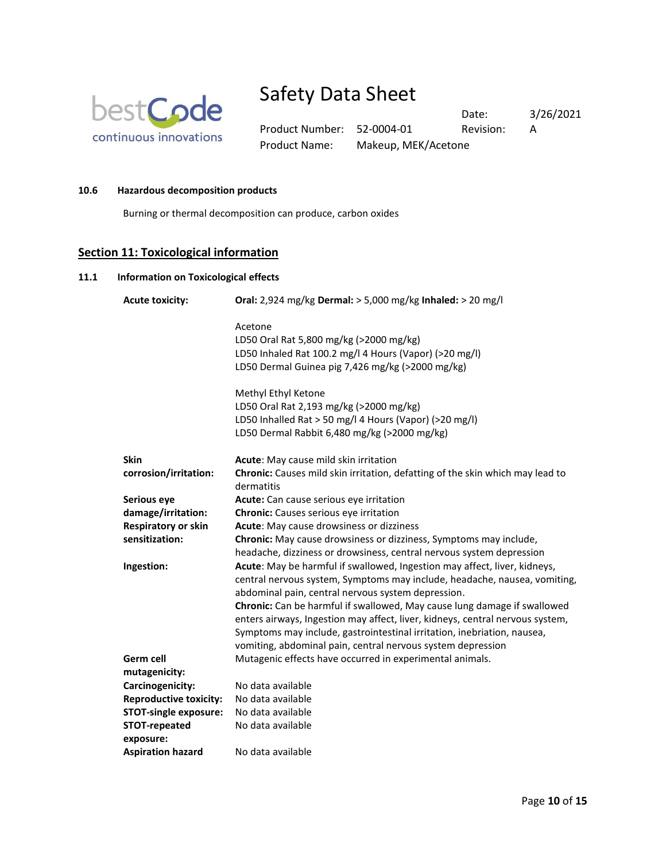

Product Name: Makeup, MEK/Acetone

Product Number: 52-0004-01 Revision: A

Date: 3/26/2021

**10.6 Hazardous decomposition products**

Burning or thermal decomposition can produce, carbon oxides

# **Section 11: Toxicological information**

## **11.1 Information on Toxicological effects**

| <b>Acute toxicity:</b>        | Oral: 2,924 mg/kg Dermal: > 5,000 mg/kg Inhaled: > 20 mg/l                                                                      |
|-------------------------------|---------------------------------------------------------------------------------------------------------------------------------|
|                               | Acetone                                                                                                                         |
|                               | LD50 Oral Rat 5,800 mg/kg (>2000 mg/kg)                                                                                         |
|                               | LD50 Inhaled Rat 100.2 mg/l 4 Hours (Vapor) (>20 mg/l)                                                                          |
|                               | LD50 Dermal Guinea pig 7,426 mg/kg (>2000 mg/kg)                                                                                |
|                               | Methyl Ethyl Ketone                                                                                                             |
|                               | LD50 Oral Rat 2,193 mg/kg (>2000 mg/kg)                                                                                         |
|                               | LD50 Inhalled Rat > 50 mg/l 4 Hours (Vapor) (>20 mg/l)                                                                          |
|                               | LD50 Dermal Rabbit 6,480 mg/kg (>2000 mg/kg)                                                                                    |
| <b>Skin</b>                   | Acute: May cause mild skin irritation                                                                                           |
| corrosion/irritation:         | Chronic: Causes mild skin irritation, defatting of the skin which may lead to<br>dermatitis                                     |
| Serious eye                   | Acute: Can cause serious eye irritation                                                                                         |
| damage/irritation:            | Chronic: Causes serious eye irritation                                                                                          |
| <b>Respiratory or skin</b>    | Acute: May cause drowsiness or dizziness                                                                                        |
| sensitization:                | Chronic: May cause drowsiness or dizziness, Symptoms may include,                                                               |
|                               | headache, dizziness or drowsiness, central nervous system depression                                                            |
| Ingestion:                    | Acute: May be harmful if swallowed, Ingestion may affect, liver, kidneys,                                                       |
|                               | central nervous system, Symptoms may include, headache, nausea, vomiting,<br>abdominal pain, central nervous system depression. |
|                               | Chronic: Can be harmful if swallowed, May cause lung damage if swallowed                                                        |
|                               | enters airways, Ingestion may affect, liver, kidneys, central nervous system,                                                   |
|                               | Symptoms may include, gastrointestinal irritation, inebriation, nausea,                                                         |
|                               | vomiting, abdominal pain, central nervous system depression                                                                     |
| Germ cell                     | Mutagenic effects have occurred in experimental animals.                                                                        |
| mutagenicity:                 |                                                                                                                                 |
| Carcinogenicity:              | No data available                                                                                                               |
| <b>Reproductive toxicity:</b> | No data available                                                                                                               |
| <b>STOT-single exposure:</b>  | No data available                                                                                                               |
| <b>STOT-repeated</b>          | No data available                                                                                                               |
| exposure:                     |                                                                                                                                 |
| <b>Aspiration hazard</b>      | No data available                                                                                                               |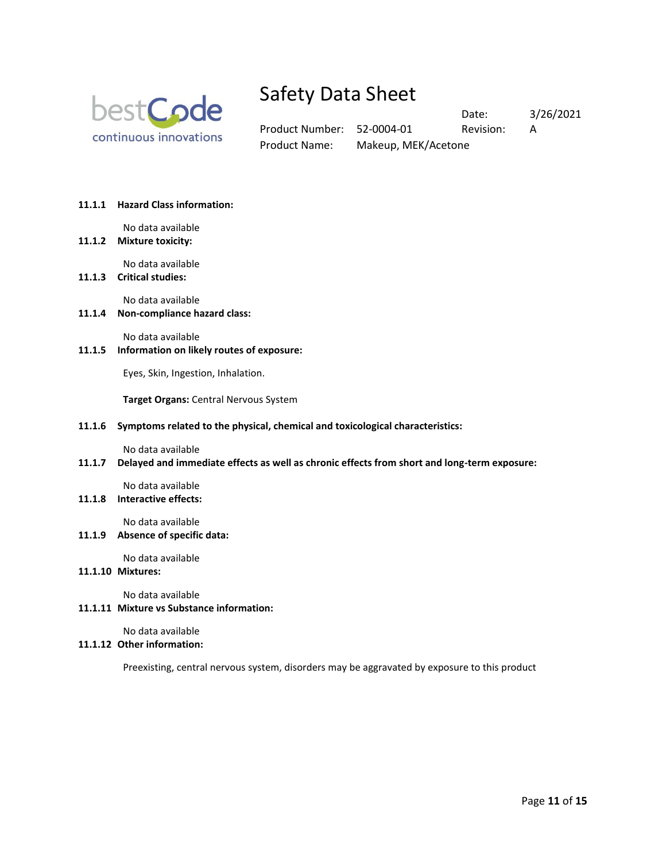

Date: 3/26/2021 Product Number: 52-0004-01 Revision: A Product Name: Makeup, MEK/Acetone

#### **11.1.1 Hazard Class information:**

No data available

**11.1.2 Mixture toxicity:** 

No data available

## **11.1.3 Critical studies:**

No data available

**11.1.4 Non-compliance hazard class:** 

No data available

**11.1.5 Information on likely routes of exposure:** 

Eyes, Skin, Ingestion, Inhalation.

**Target Organs:** Central Nervous System

#### **11.1.6 Symptoms related to the physical, chemical and toxicological characteristics:**

No data available

**11.1.7 Delayed and immediate effects as well as chronic effects from short and long-term exposure:** 

No data available **11.1.8 Interactive effects:** 

No data available

**11.1.9 Absence of specific data:** 

No data available

#### **11.1.10 Mixtures:**

No data available

### **11.1.11 Mixture vs Substance information:**

No data available

### **11.1.12 Other information:**

Preexisting, central nervous system, disorders may be aggravated by exposure to this product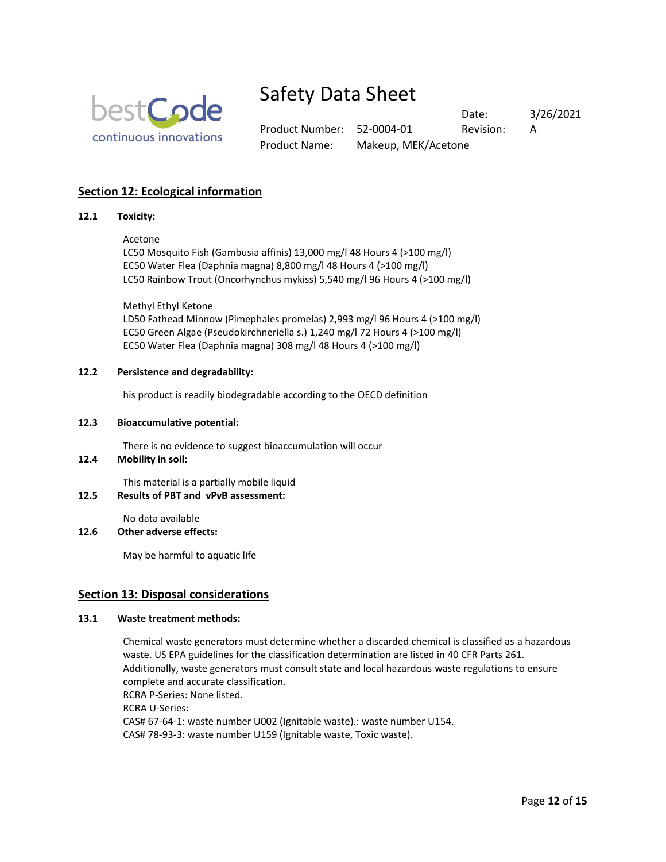

Product Number: 52-0004-01 Revision: A Product Name: Makeup, MEK/Acetone

Date: 3/26/2021

# **Section 12: Ecological information**

#### **12.1 Toxicity:**

### Acetone

LC50 Mosquito Fish (Gambusia affinis) 13,000 mg/l 48 Hours 4 (>100 mg/l) EC50 Water Flea (Daphnia magna) 8,800 mg/l 48 Hours 4 (>100 mg/l) LC50 Rainbow Trout (Oncorhynchus mykiss) 5,540 mg/l 96 Hours 4 (>100 mg/l)

Methyl Ethyl Ketone

LD50 Fathead Minnow (Pimephales promelas) 2,993 mg/l 96 Hours 4 (>100 mg/l) EC50 Green Algae (Pseudokirchneriella s.) 1,240 mg/l 72 Hours 4 (>100 mg/l) EC50 Water Flea (Daphnia magna) 308 mg/l 48 Hours 4 (>100 mg/l)

#### **12.2 Persistence and degradability:**

his product is readily biodegradable according to the OECD definition

#### **12.3 Bioaccumulative potential:**

There is no evidence to suggest bioaccumulation will occur

### **12.4 Mobility in soil:**

This material is a partially mobile liquid

#### **12.5 Results of PBT and vPvB assessment:**

No data available

#### **12.6 Other adverse effects:**

May be harmful to aquatic life

### **Section 13: Disposal considerations**

#### **13.1 Waste treatment methods:**

Chemical waste generators must determine whether a discarded chemical is classified as a hazardous waste. US EPA guidelines for the classification determination are listed in 40 CFR Parts 261. Additionally, waste generators must consult state and local hazardous waste regulations to ensure complete and accurate classification. RCRA P-Series: None listed. RCRA U-Series: CAS# 67-64-1: waste number U002 (Ignitable waste).: waste number U154. CAS# 78-93-3: waste number U159 (Ignitable waste, Toxic waste).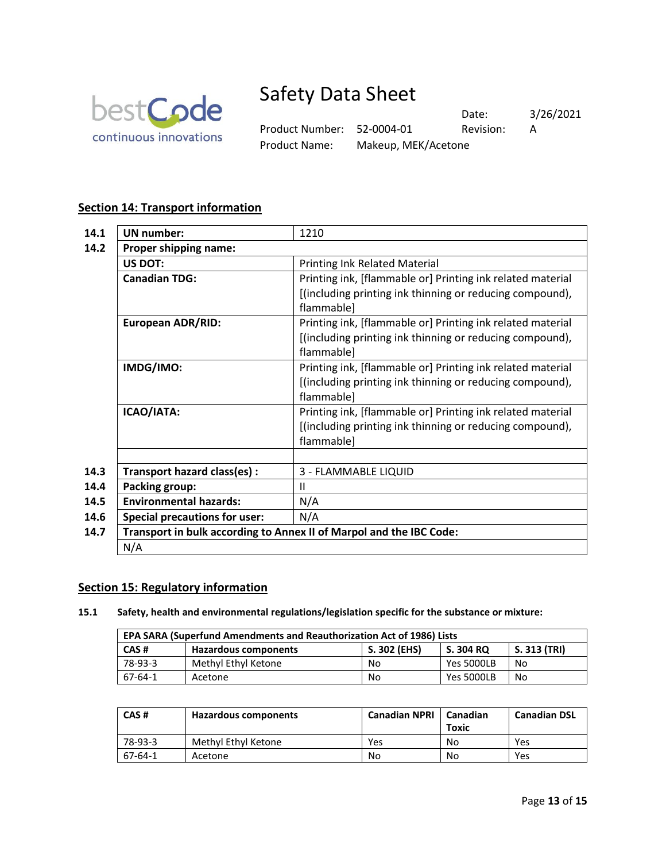

Date: 3/26/2021 Product Number: 52-0004-01 Revision: A Product Name: Makeup, MEK/Acetone

## **Section 14: Transport information**

| 14.1 | <b>UN</b> number:                                                   | 1210                                                       |
|------|---------------------------------------------------------------------|------------------------------------------------------------|
| 14.2 | Proper shipping name:                                               |                                                            |
|      | <b>US DOT:</b>                                                      | <b>Printing Ink Related Material</b>                       |
|      | <b>Canadian TDG:</b>                                                | Printing ink, [flammable or] Printing ink related material |
|      |                                                                     | [(including printing ink thinning or reducing compound),   |
|      |                                                                     | flammable]                                                 |
|      | <b>European ADR/RID:</b>                                            | Printing ink, [flammable or] Printing ink related material |
|      |                                                                     | [(including printing ink thinning or reducing compound),   |
|      |                                                                     | flammable]                                                 |
|      | IMDG/IMO:                                                           | Printing ink, [flammable or] Printing ink related material |
|      |                                                                     | [(including printing ink thinning or reducing compound),   |
|      |                                                                     | flammable]                                                 |
|      | ICAO/IATA:                                                          | Printing ink, [flammable or] Printing ink related material |
|      |                                                                     | [(including printing ink thinning or reducing compound),   |
|      |                                                                     | flammable]                                                 |
|      |                                                                     |                                                            |
| 14.3 | Transport hazard class(es) :                                        | 3 - FLAMMABLE LIQUID                                       |
| 14.4 | <b>Packing group:</b>                                               | $\mathbf{H}$                                               |
| 14.5 | <b>Environmental hazards:</b>                                       | N/A                                                        |
| 14.6 | <b>Special precautions for user:</b>                                | N/A                                                        |
| 14.7 | Transport in bulk according to Annex II of Marpol and the IBC Code: |                                                            |
|      | N/A                                                                 |                                                            |

### **Section 15: Regulatory information**

**15.1 Safety, health and environmental regulations/legislation specific for the substance or mixture:**

| <b>EPA SARA (Superfund Amendments and Reauthorization Act of 1986) Lists</b> |                             |              |                   |              |  |
|------------------------------------------------------------------------------|-----------------------------|--------------|-------------------|--------------|--|
| CAS#                                                                         | <b>Hazardous components</b> | S. 302 (EHS) | S. 304 RQ         | S. 313 (TRI) |  |
| 78-93-3                                                                      | Methyl Ethyl Ketone         | No           | <b>Yes 5000LB</b> | No           |  |
| 67-64-1                                                                      | Acetone                     | No           | <b>Yes 5000LB</b> | No           |  |

| CAS#    | Hazardous components | <b>Canadian NPRI</b> | Canadian<br>Toxic | <b>Canadian DSL</b> |
|---------|----------------------|----------------------|-------------------|---------------------|
| 78-93-3 | Methyl Ethyl Ketone  | Yes                  | No                | Yes                 |
| 67-64-1 | Acetone              | No                   | No                | Yes                 |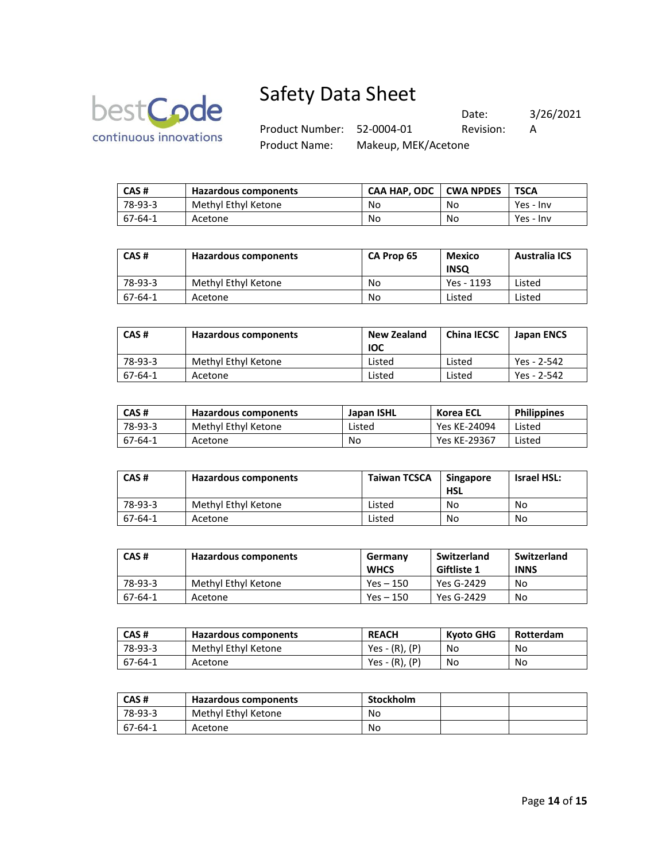

Date: 3/26/2021 Product Number: 52-0004-01 Revision: A Product Name: Makeup, MEK/Acetone

| l CAS # | Hazardous components | <b>CAA HAP. ODC</b> | l CWA NPDES | <b>TSCA</b> |
|---------|----------------------|---------------------|-------------|-------------|
| 78-93-3 | Methyl Ethyl Ketone  | No                  | No          | Yes - Inv   |
| 67-64-1 | Acetone              | No                  | No          | Yes - Inv   |

| CAS#    | <b>Hazardous components</b> | CA Prop 65 | <b>Mexico</b><br><b>INSQ</b> | <b>Australia ICS</b> |
|---------|-----------------------------|------------|------------------------------|----------------------|
| 78-93-3 | Methyl Ethyl Ketone         | No         | Yes - 1193                   | Listed               |
| 67-64-1 | Acetone                     | No         | Listed                       | Listed               |

| CAS#    | Hazardous components | <b>New Zealand</b><br><b>IOC</b> | <b>China IECSC</b> | <b>Japan ENCS</b> |
|---------|----------------------|----------------------------------|--------------------|-------------------|
| 78-93-3 | Methyl Ethyl Ketone  | Listed                           | Listed             | Yes - 2-542       |
| 67-64-1 | Acetone              | Listed                           | Listed             | Yes - 2-542       |

| CAS#    | Hazardous components | Japan ISHL | Korea ECL    | <b>Philippines</b> |
|---------|----------------------|------------|--------------|--------------------|
| 78-93-3 | Methyl Ethyl Ketone  | Listed     | Yes KE-24094 | Listed             |
| 67-64-1 | Acetone              | No         | Yes KE-29367 | Listed             |

| CAS#    | Hazardous components | <b>Taiwan TCSCA</b> | <b>Singapore</b><br><b>HSL</b> | <b>Israel HSL:</b> |
|---------|----------------------|---------------------|--------------------------------|--------------------|
| 78-93-3 | Methyl Ethyl Ketone  | Listed              | No                             | No                 |
| 67-64-1 | Acetone              | Listed              | No                             | No                 |

| CAS#    | Hazardous components | Germany<br><b>WHCS</b> | Switzerland<br><b>Giftliste 1</b> | Switzerland<br><b>INNS</b> |
|---------|----------------------|------------------------|-----------------------------------|----------------------------|
| 78-93-3 | Methyl Ethyl Ketone  | $Yes - 150$            | Yes G-2429                        | No                         |
| 67-64-1 | Acetone              | Yes – 150              | Yes G-2429                        | No                         |

| CAS#    | Hazardous components | <b>REACH</b>     | Kvoto GHG | Rotterdam |
|---------|----------------------|------------------|-----------|-----------|
| 78-93-3 | Methyl Ethyl Ketone  | $Yes - (R), (P)$ | No        | No.       |
| 67-64-1 | Acetone              | Yes - (R), (P)   | No        | No        |

| CAS#    | Hazardous components | Stockholm |  |
|---------|----------------------|-----------|--|
| 78-93-3 | Methyl Ethyl Ketone  | No        |  |
| 67-64-1 | Acetone              | No        |  |